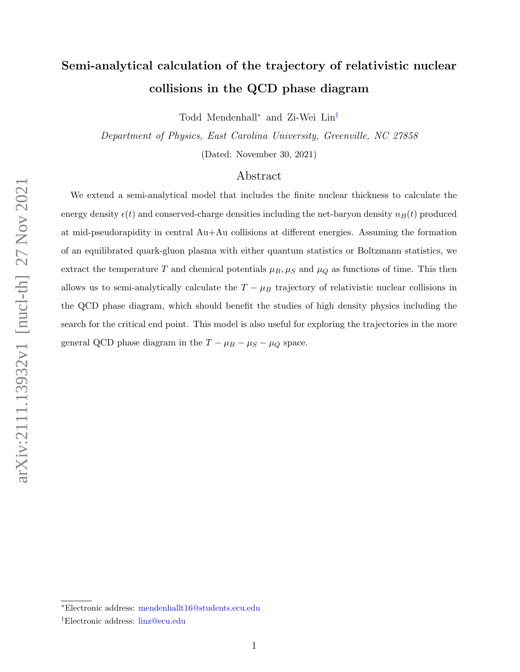# Semi-analytical calculation of the trajectory of relativistic nuclear collisions in the QCD phase diagram

Todd Mendenhall[∗](#page-0-0) and Zi-Wei Lin[†](#page-0-1)

Department of Physics, East Carolina University, Greenville, NC 27858

(Dated: November 30, 2021)

# Abstract

We extend a semi-analytical model that includes the finite nuclear thickness to calculate the energy density  $\epsilon(t)$  and conserved-charge densities including the net-baryon density  $n_B(t)$  produced at mid-pseudorapidity in central Au+Au collisions at different energies. Assuming the formation of an equilibrated quark-gluon plasma with either quantum statistics or Boltzmann statistics, we extract the temperature T and chemical potentials  $\mu_B, \mu_S$  and  $\mu_Q$  as functions of time. This then allows us to semi-analytically calculate the  $T - \mu_B$  trajectory of relativistic nuclear collisions in the QCD phase diagram, which should benefit the studies of high density physics including the search for the critical end point. This model is also useful for exploring the trajectories in the more general QCD phase diagram in the  $T - \mu_B - \mu_S - \mu_Q$  space.

<span id="page-0-1"></span><span id="page-0-0"></span><sup>∗</sup>Electronic address: [mendenhallt16@students.ecu.edu](mailto:mendenhallt16@students.ecu.edu)

<sup>†</sup>Electronic address: [linz@ecu.edu](mailto:linz@ecu.edu)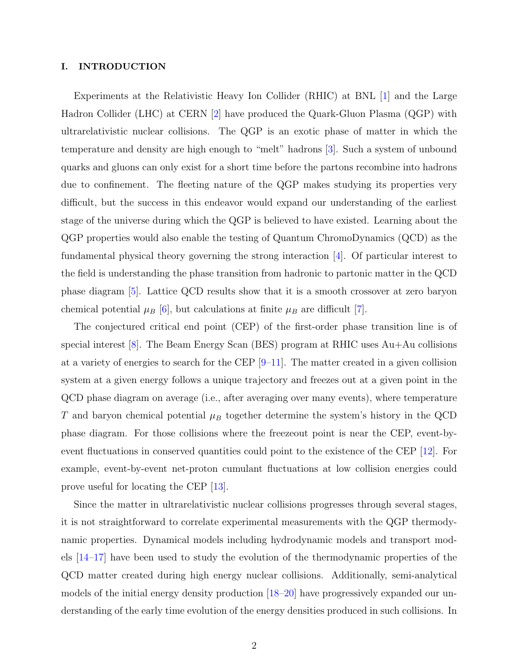## I. INTRODUCTION

Experiments at the Relativistic Heavy Ion Collider (RHIC) at BNL [\[1\]](#page-23-0) and the Large Hadron Collider (LHC) at CERN [\[2\]](#page-23-1) have produced the Quark-Gluon Plasma (QGP) with ultrarelativistic nuclear collisions. The QGP is an exotic phase of matter in which the temperature and density are high enough to "melt" hadrons [\[3\]](#page-23-2). Such a system of unbound quarks and gluons can only exist for a short time before the partons recombine into hadrons due to confinement. The fleeting nature of the QGP makes studying its properties very difficult, but the success in this endeavor would expand our understanding of the earliest stage of the universe during which the QGP is believed to have existed. Learning about the QGP properties would also enable the testing of Quantum ChromoDynamics (QCD) as the fundamental physical theory governing the strong interaction [\[4\]](#page-23-3). Of particular interest to the field is understanding the phase transition from hadronic to partonic matter in the QCD phase diagram [\[5\]](#page-23-4). Lattice QCD results show that it is a smooth crossover at zero baryon chemical potential  $\mu_B$  [\[6\]](#page-23-5), but calculations at finite  $\mu_B$  are difficult [\[7\]](#page-23-6).

The conjectured critical end point (CEP) of the first-order phase transition line is of special interest [\[8\]](#page-23-7). The Beam Energy Scan (BES) program at RHIC uses Au+Au collisions at a variety of energies to search for the CEP  $[9-11]$  $[9-11]$ . The matter created in a given collision system at a given energy follows a unique trajectory and freezes out at a given point in the QCD phase diagram on average (i.e., after averaging over many events), where temperature T and baryon chemical potential  $\mu_B$  together determine the system's history in the QCD phase diagram. For those collisions where the freezeout point is near the CEP, event-byevent fluctuations in conserved quantities could point to the existence of the CEP [\[12\]](#page-23-10). For example, event-by-event net-proton cumulant fluctuations at low collision energies could prove useful for locating the CEP [\[13\]](#page-23-11).

Since the matter in ultrarelativistic nuclear collisions progresses through several stages, it is not straightforward to correlate experimental measurements with the QGP thermodynamic properties. Dynamical models including hydrodynamic models and transport models [\[14–](#page-23-12)[17\]](#page-23-13) have been used to study the evolution of the thermodynamic properties of the QCD matter created during high energy nuclear collisions. Additionally, semi-analytical models of the initial energy density production [\[18–](#page-23-14)[20\]](#page-23-15) have progressively expanded our understanding of the early time evolution of the energy densities produced in such collisions. In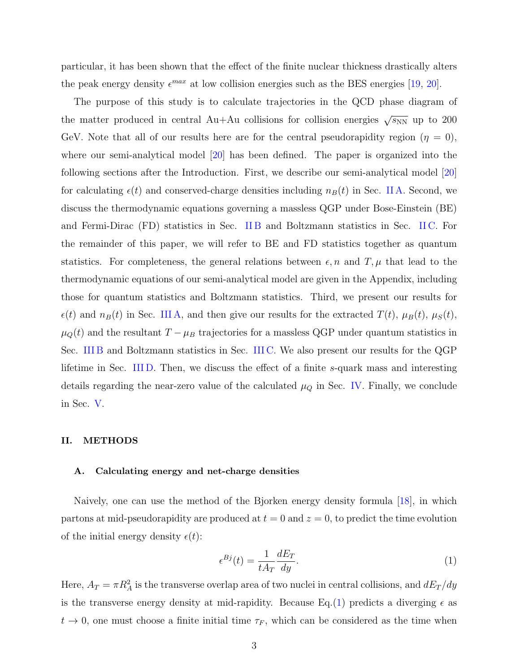particular, it has been shown that the effect of the finite nuclear thickness drastically alters the peak energy density  $\epsilon^{max}$  at low collision energies such as the BES energies [\[19,](#page-23-16) [20\]](#page-23-15).

The purpose of this study is to calculate trajectories in the QCD phase diagram of the matter produced in central Au+Au collisions for collision energies  $\sqrt{s_{NN}}$  up to 200 GeV. Note that all of our results here are for the central pseudorapidity region ( $\eta = 0$ ), where our semi-analytical model [\[20\]](#page-23-15) has been defined. The paper is organized into the following sections after the Introduction. First, we describe our semi-analytical model [\[20\]](#page-23-15) for calculating  $\epsilon(t)$  and conserved-charge densities including  $n_B(t)$  in Sec. [II A.](#page-2-0) Second, we discuss the thermodynamic equations governing a massless QGP under Bose-Einstein (BE) and Fermi-Dirac (FD) statistics in Sec. [II B](#page-6-0) and Boltzmann statistics in Sec. [II C.](#page-7-0) For the remainder of this paper, we will refer to BE and FD statistics together as quantum statistics. For completeness, the general relations between  $\epsilon$ , n and T,  $\mu$  that lead to the thermodynamic equations of our semi-analytical model are given in the Appendix, including those for quantum statistics and Boltzmann statistics. Third, we present our results for  $\epsilon(t)$  and  $n_B(t)$  in Sec. [III A,](#page-8-0) and then give our results for the extracted  $T(t)$ ,  $\mu_B(t)$ ,  $\mu_S(t)$ ,  $\mu_Q(t)$  and the resultant  $T - \mu_B$  trajectories for a massless QGP under quantum statistics in Sec. [III B](#page-9-0) and Boltzmann statistics in Sec. [III C.](#page-13-0) We also present our results for the QGP lifetime in Sec. [III D.](#page-17-0) Then, we discuss the effect of a finite s-quark mass and interesting details regarding the near-zero value of the calculated  $\mu_Q$  in Sec. [IV.](#page-18-0) Finally, we conclude in Sec. [V.](#page-20-0)

#### II. METHODS

## <span id="page-2-0"></span>A. Calculating energy and net-charge densities

Naively, one can use the method of the Bjorken energy density formula [\[18\]](#page-23-14), in which partons at mid-pseudorapidity are produced at  $t = 0$  and  $z = 0$ , to predict the time evolution of the initial energy density  $\epsilon(t)$ :

<span id="page-2-1"></span>
$$
\epsilon^{Bj}(t) = \frac{1}{tA_T} \frac{dE_T}{dy}.\tag{1}
$$

Here,  $A_T = \pi R_A^2$  is the transverse overlap area of two nuclei in central collisions, and  $dE_T/dy$ is the transverse energy density at mid-rapidity. Because Eq.[\(1\)](#page-2-1) predicts a diverging  $\epsilon$  as  $t \to 0$ , one must choose a finite initial time  $\tau_F$ , which can be considered as the time when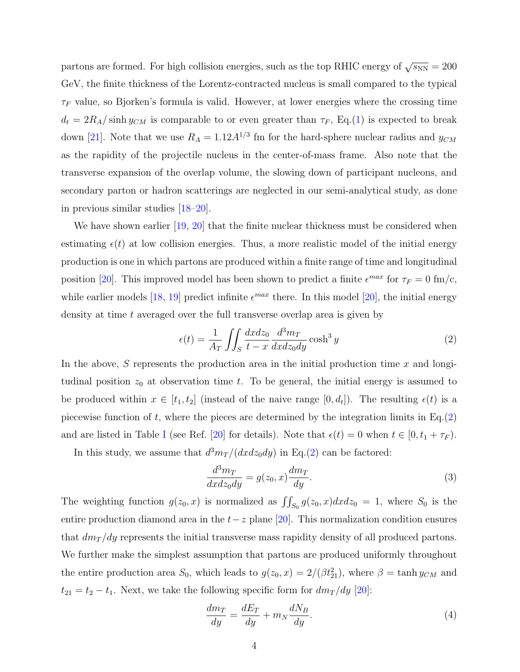partons are formed. For high collision energies, such as the top RHIC energy of  $\sqrt{s_{NN}} = 200$ GeV, the finite thickness of the Lorentz-contracted nucleus is small compared to the typical  $\tau_F$  value, so Bjorken's formula is valid. However, at lower energies where the crossing time  $d_t = 2R_A/\sinh y_{CM}$  is comparable to or even greater than  $\tau_F$ , Eq.[\(1\)](#page-2-1) is expected to break down [\[21\]](#page-23-17). Note that we use  $R_A = 1.12 A^{1/3}$  fm for the hard-sphere nuclear radius and  $y_{CM}$ as the rapidity of the projectile nucleus in the center-of-mass frame. Also note that the transverse expansion of the overlap volume, the slowing down of participant nucleons, and secondary parton or hadron scatterings are neglected in our semi-analytical study, as done in previous similar studies [\[18–](#page-23-14)[20\]](#page-23-15).

We have shown earlier [\[19,](#page-23-16) [20\]](#page-23-15) that the finite nuclear thickness must be considered when estimating  $\epsilon(t)$  at low collision energies. Thus, a more realistic model of the initial energy production is one in which partons are produced within a finite range of time and longitudinal position [\[20\]](#page-23-15). This improved model has been shown to predict a finite  $\epsilon^{max}$  for  $\tau_F = 0$  fm/c, while earlier models [\[18,](#page-23-14) [19\]](#page-23-16) predict infinite  $\epsilon^{max}$  there. In this model [\[20\]](#page-23-15), the initial energy density at time  $t$  averaged over the full transverse overlap area is given by

<span id="page-3-0"></span>
$$
\epsilon(t) = \frac{1}{A_T} \iint_S \frac{dx dz_0}{t - x} \frac{d^3 m_T}{dx dz_0 dy} \cosh^3 y \tag{2}
$$

In the above, S represents the production area in the initial production time  $x$  and longtudinal position  $z_0$  at observation time t. To be general, the initial energy is assumed to be produced within  $x \in [t_1, t_2]$  (instead of the naive range  $[0, d_t]$ ). The resulting  $\epsilon(t)$  is a piecewise function of t, where the pieces are determined by the integration limits in  $Eq.(2)$  $Eq.(2)$ and are listed in Table [I](#page-4-0) (see Ref. [\[20\]](#page-23-15) for details). Note that  $\epsilon(t) = 0$  when  $t \in [0, t_1 + \tau_F)$ .

In this study, we assume that  $d^3m_T/(dx dz_0 dy)$  in Eq.[\(2\)](#page-3-0) can be factored:

$$
\frac{d^3m_T}{dx dz_0 dy} = g(z_0, x) \frac{dm_T}{dy}.
$$
\n(3)

The weighting function  $g(z_0, x)$  is normalized as  $\iint_{S_0} g(z_0, x) dx dz_0 = 1$ , where  $S_0$  is the entire production diamond area in the  $t-z$  plane [\[20\]](#page-23-15). This normalization condition ensures that  $dm_T/dy$  represents the initial transverse mass rapidity density of all produced partons. We further make the simplest assumption that partons are produced uniformly throughout the entire production area  $S_0$ , which leads to  $g(z_0, x) = 2/(\beta t_{21}^2)$ , where  $\beta = \tanh y_{CM}$  and  $t_{21} = t_2 - t_1$ . Next, we take the following specific form for  $dm_T/dy$  [\[20\]](#page-23-15):

$$
\frac{dm_T}{dy} = \frac{dE_T}{dy} + m_N \frac{dN_B}{dy}.\tag{4}
$$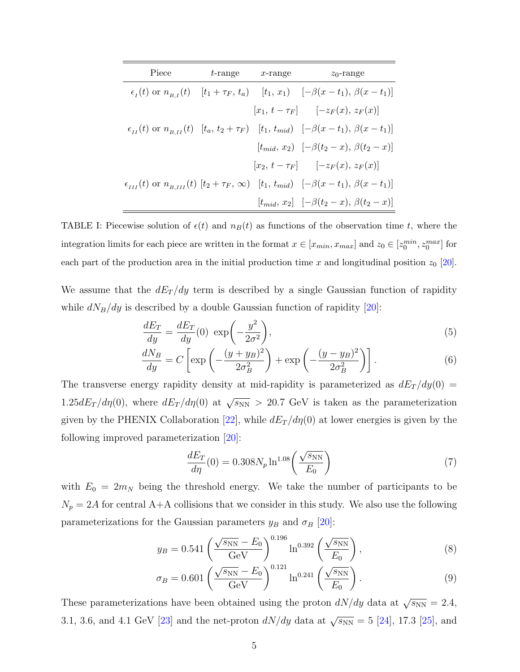| Piece | $t$ -range $x$ -range | $z_0$ -range                                                                                                        |
|-------|-----------------------|---------------------------------------------------------------------------------------------------------------------|
|       |                       | $\epsilon_{I}(t)$ or $n_{B,I}(t)$ $[t_1 + \tau_F, t_a)$ $[t_1, x_1)$ $[-\beta(x - t_1), \beta(x - t_1)]$            |
|       |                       | $[x_1, t - \tau_F]$ $[-z_F(x), z_F(x)]$                                                                             |
|       |                       | $\epsilon_{II}(t)$ or $n_{B,II}(t)$ $[t_a, t_2 + \tau_F]$ $[t_1, t_{mid})$ $[-\beta(x - t_1), \beta(x - t_1)]$      |
|       |                       | $[t_{mid}, x_2)$ $[-\beta(t_2 - x), \beta(t_2 - x)]$                                                                |
|       |                       | $[x_2, t - \tau_F]$ [-z <sub>F</sub> (x), z <sub>F</sub> (x)]                                                       |
|       |                       | $\epsilon_{III}(t)$ or $n_{B,III}(t)$ $[t_2 + \tau_F, \infty)$ $[t_1, t_{mid}]$ $[-\beta(x - t_1), \beta(x - t_1)]$ |
|       |                       | $[t_{mid}, x_2]$ $[-\beta(t_2 - x), \beta(t_2 - x)]$                                                                |

<span id="page-4-0"></span>TABLE I: Piecewise solution of  $\epsilon(t)$  and  $n_B(t)$  as functions of the observation time t, where the integration limits for each piece are written in the format  $x \in [x_{min}, x_{max}]$  and  $z_0 \in [z_0^{min}, z_0^{max}]$  for each part of the production area in the initial production time x and longitudinal position  $z_0$  [\[20\]](#page-23-15).

We assume that the  $dE_T/dy$  term is described by a single Gaussian function of rapidity while  $dN_B/dy$  is described by a double Gaussian function of rapidity [\[20\]](#page-23-15):

$$
\frac{dE_T}{dy} = \frac{dE_T}{dy}(0) \exp\left(-\frac{y^2}{2\sigma^2}\right),\tag{5}
$$

$$
\frac{dN_B}{dy} = C \left[ \exp\left( -\frac{(y + y_B)^2}{2\sigma_B^2} \right) + \exp\left( -\frac{(y - y_B)^2}{2\sigma_B^2} \right) \right].
$$
\n(6)

The transverse energy rapidity density at mid-rapidity is parameterized as  $dE_T/dy(0)$  = 1.25 $dE_T/d\eta(0)$ , where  $dE_T/d\eta(0)$  at  $\sqrt{s_{NN}} > 20.7$  GeV is taken as the parameterization given by the PHENIX Collaboration [\[22\]](#page-23-18), while  $dE_T/d\eta(0)$  at lower energies is given by the following improved parameterization [\[20\]](#page-23-15):

<span id="page-4-2"></span><span id="page-4-1"></span>
$$
\frac{dE_T}{d\eta}(0) = 0.308N_p \ln^{1.08}\left(\frac{\sqrt{s_{\rm NN}}}{E_0}\right)
$$
\n(7)

with  $E_0 = 2m_N$  being the threshold energy. We take the number of participants to be  $N_p = 2A$  for central A+A collisions that we consider in this study. We also use the following parameterizations for the Gaussian parameters  $y_B$  and  $\sigma_B$  [\[20\]](#page-23-15):

$$
y_B = 0.541 \left( \frac{\sqrt{s_{\rm NN}} - E_0}{\rm GeV} \right)^{0.196} \ln^{0.392} \left( \frac{\sqrt{s_{\rm NN}}}{E_0} \right),\tag{8}
$$

$$
\sigma_B = 0.601 \left( \frac{\sqrt{s_{\rm NN} - E_0}}{\rm GeV} \right)^{0.121} \ln^{0.241} \left( \frac{\sqrt{s_{\rm NN}}}{E_0} \right). \tag{9}
$$

These parameterizations have been obtained using the proton  $dN/dy$  data at  $\sqrt{s_{NN}} = 2.4$ , 3.1, 3.6, and 4.1 GeV [\[23\]](#page-23-19) and the net-proton  $dN/dy$  data at  $\sqrt{s_{NN}} = 5$  [\[24\]](#page-23-20), 17.3 [\[25\]](#page-23-21), and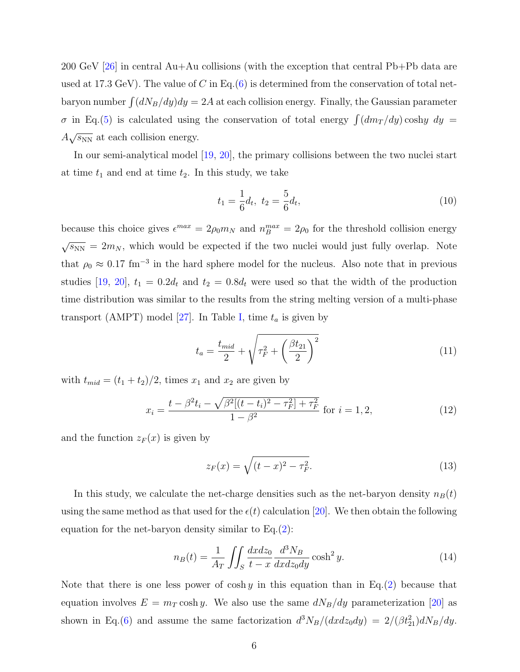200 GeV [\[26\]](#page-23-22) in central Au+Au collisions (with the exception that central Pb+Pb data are used at 17.3 GeV). The value of C in Eq.[\(6\)](#page-4-1) is determined from the conservation of total netbaryon number  $\int (dN_B/dy)dy = 2A$  at each collision energy. Finally, the Gaussian parameter  $\sigma$  in Eq.[\(5\)](#page-4-2) is calculated using the conservation of total energy  $\int (dm_T /dy) \cosh y \ dy =$  $A\sqrt{s_{NN}}$  at each collision energy.

In our semi-analytical model [\[19,](#page-23-16) [20\]](#page-23-15), the primary collisions between the two nuclei start at time  $t_1$  and end at time  $t_2$ . In this study, we take

$$
t_1 = \frac{1}{6}d_t, \ t_2 = \frac{5}{6}d_t,\tag{10}
$$

because this choice gives  $\epsilon^{max} = 2\rho_0 m_N$  and  $n_B^{max} = 2\rho_0$  for the threshold collision energy  $\sqrt{s_{NN}} = 2m_N$ , which would be expected if the two nuclei would just fully overlap. Note that  $\rho_0 \approx 0.17$  fm<sup>-3</sup> in the hard sphere model for the nucleus. Also note that in previous studies [\[19,](#page-23-16) [20\]](#page-23-15),  $t_1 = 0.2d_t$  and  $t_2 = 0.8d_t$  were used so that the width of the production time distribution was similar to the results from the string melting version of a multi-phase transport (AMPT) model [\[27\]](#page-23-23). In Table [I,](#page-4-0) time  $t_a$  is given by

$$
t_a = \frac{t_{mid}}{2} + \sqrt{\tau_F^2 + \left(\frac{\beta t_{21}}{2}\right)^2}
$$
 (11)

with  $t_{mid} = (t_1 + t_2)/2$ , times  $x_1$  and  $x_2$  are given by

$$
x_i = \frac{t - \beta^2 t_i - \sqrt{\beta^2 [(t - t_i)^2 - \tau_F^2] + \tau_F^2}}{1 - \beta^2}
$$
 for  $i = 1, 2,$  (12)

and the function  $z_F(x)$  is given by

$$
z_F(x) = \sqrt{(t-x)^2 - \tau_F^2}.
$$
\n(13)

In this study, we calculate the net-charge densities such as the net-baryon density  $n_B(t)$ using the same method as that used for the  $\epsilon(t)$  calculation [\[20\]](#page-23-15). We then obtain the following equation for the net-baryon density similar to Eq.[\(2\)](#page-3-0):

<span id="page-5-0"></span>
$$
n_B(t) = \frac{1}{A_T} \iint_S \frac{dx dz_0}{t - x} \frac{d^3 N_B}{dx dz_0 dy} \cosh^2 y.
$$
 (14)

Note that there is one less power of cosh y in this equation than in Eq.[\(2\)](#page-3-0) because that equation involves  $E = m_T \cosh y$ . We also use the same  $dN_B/dy$  parameterization [\[20\]](#page-23-15) as shown in Eq.[\(6\)](#page-4-1) and assume the same factorization  $d^3N_B/(dxdz_0dy) = 2/(\beta t_{21}^2)dN_B/dy$ .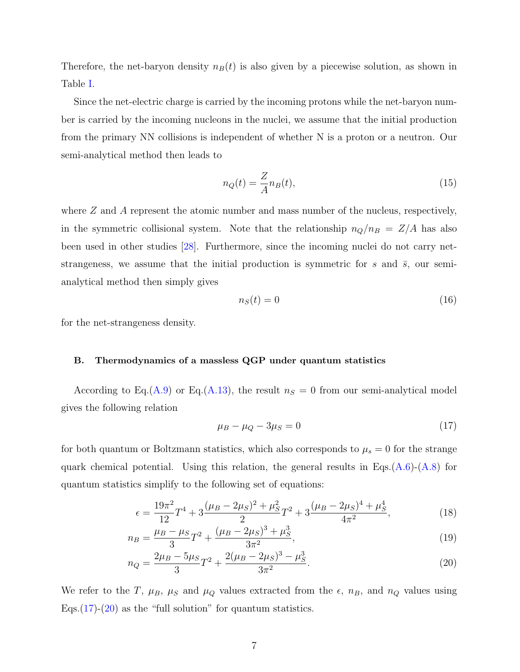Therefore, the net-baryon density  $n_B(t)$  is also given by a piecewise solution, as shown in Table [I.](#page-4-0)

Since the net-electric charge is carried by the incoming protons while the net-baryon number is carried by the incoming nucleons in the nuclei, we assume that the initial production from the primary NN collisions is independent of whether N is a proton or a neutron. Our semi-analytical method then leads to

$$
n_Q(t) = \frac{Z}{A} n_B(t),\tag{15}
$$

where  $Z$  and  $A$  represent the atomic number and mass number of the nucleus, respectively, in the symmetric collisional system. Note that the relationship  $n_Q/n_B = Z/A$  has also been used in other studies [\[28\]](#page-23-24). Furthermore, since the incoming nuclei do not carry netstrangeness, we assume that the initial production is symmetric for s and  $\bar{s}$ , our semianalytical method then simply gives

$$
n_S(t) = 0\tag{16}
$$

for the net-strangeness density.

#### <span id="page-6-0"></span>B. Thermodynamics of a massless QGP under quantum statistics

According to Eq.[\(A.9\)](#page-22-0) or Eq.[\(A.13\)](#page-22-1), the result  $n<sub>S</sub> = 0$  from our semi-analytical model gives the following relation

<span id="page-6-4"></span><span id="page-6-3"></span><span id="page-6-2"></span><span id="page-6-1"></span>
$$
\mu_B - \mu_Q - 3\mu_S = 0 \tag{17}
$$

for both quantum or Boltzmann statistics, which also corresponds to  $\mu_s = 0$  for the strange quark chemical potential. Using this relation, the general results in Eqs.( $A.6$ )-( $A.8$ ) for quantum statistics simplify to the following set of equations:

$$
\epsilon = \frac{19\pi^2}{12}T^4 + 3\frac{(\mu_B - 2\mu_S)^2 + \mu_S^2}{2}T^2 + 3\frac{(\mu_B - 2\mu_S)^4 + \mu_S^4}{4\pi^2},\tag{18}
$$

$$
n_B = \frac{\mu_B - \mu_S}{3} T^2 + \frac{(\mu_B - 2\mu_S)^3 + \mu_S^3}{3\pi^2},\tag{19}
$$

$$
n_Q = \frac{2\mu_B - 5\mu_S}{3}T^2 + \frac{2(\mu_B - 2\mu_S)^3 - \mu_S^3}{3\pi^2}.
$$
\n(20)

We refer to the T,  $\mu_B$ ,  $\mu_S$  and  $\mu_Q$  values extracted from the  $\epsilon$ ,  $n_B$ , and  $n_Q$  values using Eqs. $(17)-(20)$  $(17)-(20)$  $(17)-(20)$  as the "full solution" for quantum statistics.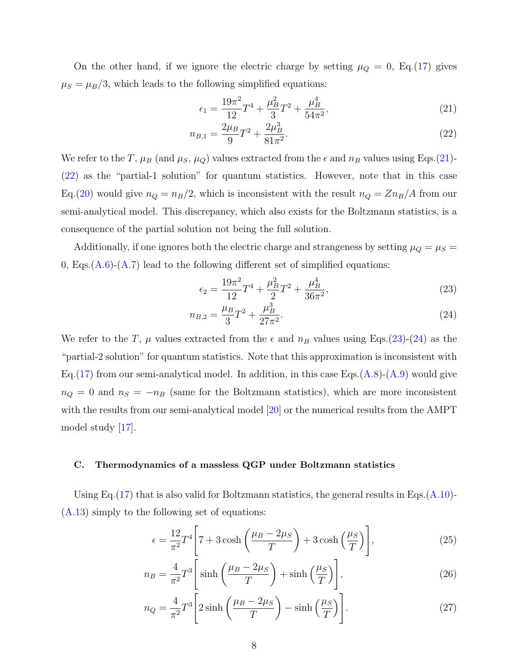On the other hand, if we ignore the electric charge by setting  $\mu_Q = 0$ , Eq.[\(17\)](#page-6-1) gives  $\mu_S = \mu_B/3$ , which leads to the following simplified equations:

<span id="page-7-2"></span><span id="page-7-1"></span>
$$
\epsilon_1 = \frac{19\pi^2}{12}T^4 + \frac{\mu_B^2}{3}T^2 + \frac{\mu_B^4}{54\pi^2},\tag{21}
$$

$$
n_{B,1} = \frac{2\mu_B}{9}T^2 + \frac{2\mu_B^3}{81\pi^2}.
$$
\n(22)

We refer to the T,  $\mu_B$  (and  $\mu_S$ ,  $\mu_Q$ ) values extracted from the  $\epsilon$  and  $n_B$  values using Eqs.[\(21\)](#page-7-1)-[\(22\)](#page-7-2) as the "partial-1 solution" for quantum statistics. However, note that in this case Eq.[\(20\)](#page-6-2) would give  $n_Q = n_B/2$ , which is inconsistent with the result  $n_Q = Zn_B/A$  from our semi-analytical model. This discrepancy, which also exists for the Boltzmann statistics, is a consequence of the partial solution not being the full solution.

Additionally, if one ignores both the electric charge and strangeness by setting  $\mu_Q = \mu_S =$ 0, Eqs. $(A.6)-(A.7)$  $(A.6)-(A.7)$  $(A.6)-(A.7)$  lead to the following different set of simplified equations:

<span id="page-7-4"></span><span id="page-7-3"></span>
$$
\epsilon_2 = \frac{19\pi^2}{12}T^4 + \frac{\mu_B^2}{2}T^2 + \frac{\mu_B^4}{36\pi^2},\tag{23}
$$

$$
n_{B,2} = \frac{\mu_B}{3} T^2 + \frac{\mu_B^3}{27\pi^2}.
$$
\n(24)

We refer to the T,  $\mu$  values extracted from the  $\epsilon$  and  $n_B$  values using Eqs.[\(23\)](#page-7-3)-[\(24\)](#page-7-4) as the "partial-2 solution" for quantum statistics. Note that this approximation is inconsistent with Eq.[\(17\)](#page-6-1) from our semi-analytical model. In addition, in this case Eqs.[\(A.8\)](#page-22-3)-[\(A.9\)](#page-22-0) would give  $n_Q = 0$  and  $n_S = -n_B$  (same for the Boltzmann statistics), which are more inconsistent with the results from our semi-analytical model [\[20\]](#page-23-15) or the numerical results from the AMPT model study [\[17\]](#page-23-13).

### <span id="page-7-0"></span>C. Thermodynamics of a massless QGP under Boltzmann statistics

Using Eq.[\(17\)](#page-6-1) that is also valid for Boltzmann statistics, the general results in Eqs.[\(A.10\)](#page-22-5)-[\(A.13\)](#page-22-1) simply to the following set of equations:

<span id="page-7-5"></span>
$$
\epsilon = \frac{12}{\pi^2} T^4 \left[ 7 + 3 \cosh\left(\frac{\mu_B - 2\mu_S}{T}\right) + 3 \cosh\left(\frac{\mu_S}{T}\right) \right],\tag{25}
$$

$$
n_B = \frac{4}{\pi^2} T^3 \left[ \sinh\left(\frac{\mu_B - 2\mu_S}{T}\right) + \sinh\left(\frac{\mu_S}{T}\right) \right],\tag{26}
$$

<span id="page-7-6"></span>
$$
n_Q = \frac{4}{\pi^2} T^3 \left[ 2 \sinh\left(\frac{\mu_B - 2\mu_S}{T}\right) - \sinh\left(\frac{\mu_S}{T}\right) \right].
$$
 (27)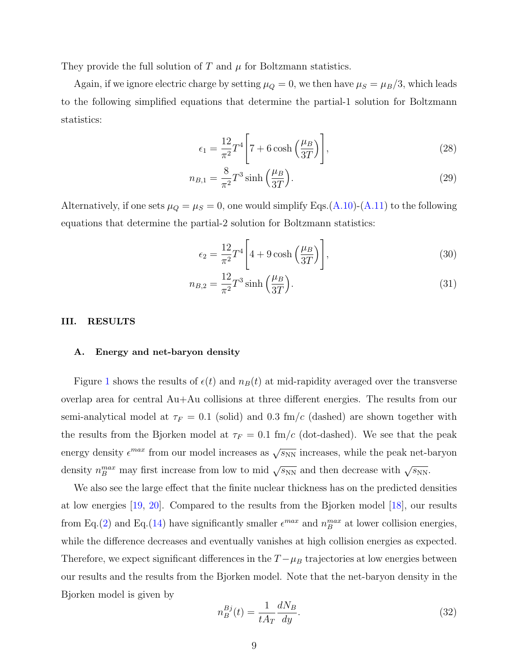They provide the full solution of  $T$  and  $\mu$  for Boltzmann statistics.

Again, if we ignore electric charge by setting  $\mu_Q = 0$ , we then have  $\mu_S = \mu_B/3$ , which leads to the following simplified equations that determine the partial-1 solution for Boltzmann statistics:

<span id="page-8-2"></span><span id="page-8-1"></span>
$$
\epsilon_1 = \frac{12}{\pi^2} T^4 \left[ 7 + 6 \cosh\left(\frac{\mu_B}{3T}\right) \right],\tag{28}
$$

$$
n_{B,1} = \frac{8}{\pi^2} T^3 \sinh\left(\frac{\mu_B}{3T}\right). \tag{29}
$$

Alternatively, if one sets  $\mu_Q = \mu_S = 0$ , one would simplify Eqs.[\(A.10\)](#page-22-5)-[\(A.11\)](#page-22-6) to the following equations that determine the partial-2 solution for Boltzmann statistics:

<span id="page-8-4"></span><span id="page-8-3"></span>
$$
\epsilon_2 = \frac{12}{\pi^2} T^4 \left[ 4 + 9 \cosh\left(\frac{\mu_B}{3T}\right) \right],\tag{30}
$$

$$
n_{B,2} = \frac{12}{\pi^2} T^3 \sinh\left(\frac{\mu_B}{3T}\right). \tag{31}
$$

## III. RESULTS

#### <span id="page-8-0"></span>A. Energy and net-baryon density

Figure [1](#page-9-1) shows the results of  $\epsilon(t)$  and  $n_B(t)$  at mid-rapidity averaged over the transverse overlap area for central Au+Au collisions at three different energies. The results from our semi-analytical model at  $\tau_F = 0.1$  (solid) and 0.3 fm/c (dashed) are shown together with the results from the Bjorken model at  $\tau_F = 0.1$  fm/c (dot-dashed). We see that the peak energy density  $\epsilon^{max}$  from our model increases as  $\sqrt{s_{NN}}$  increases, while the peak net-baryon density  $n_B^{max}$  may first increase from low to mid  $\sqrt{s_{NN}}$  and then decrease with  $\sqrt{s_{NN}}$ .

We also see the large effect that the finite nuclear thickness has on the predicted densities at low energies [\[19,](#page-23-16) [20\]](#page-23-15). Compared to the results from the Bjorken model [\[18\]](#page-23-14), our results from Eq.[\(2\)](#page-3-0) and Eq.[\(14\)](#page-5-0) have significantly smaller  $\epsilon^{max}$  and  $n_B^{max}$  at lower collision energies, while the difference decreases and eventually vanishes at high collision energies as expected. Therefore, we expect significant differences in the  $T - \mu_B$  trajectories at low energies between our results and the results from the Bjorken model. Note that the net-baryon density in the Bjorken model is given by

$$
n_B^{Bj}(t) = \frac{1}{tA_T} \frac{dN_B}{dy}.\tag{32}
$$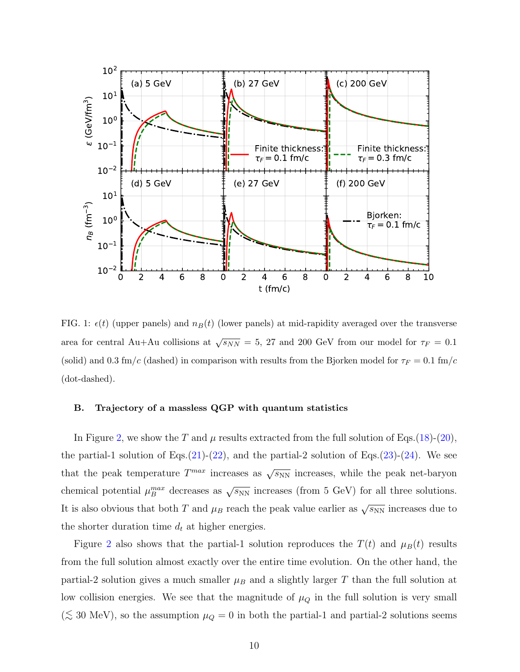

<span id="page-9-1"></span>FIG. 1:  $\epsilon(t)$  (upper panels) and  $n_B(t)$  (lower panels) at mid-rapidity averaged over the transverse area for central Au+Au collisions at  $\sqrt{s_{NN}} = 5$ , 27 and 200 GeV from our model for  $\tau_F = 0.1$ (solid) and 0.3 fm/c (dashed) in comparison with results from the Bjorken model for  $\tau_F = 0.1$  fm/c (dot-dashed).

## <span id="page-9-0"></span>B. Trajectory of a massless QGP with quantum statistics

In Figure [2,](#page-10-0) we show the T and  $\mu$  results extracted from the full solution of Eqs.[\(18\)](#page-6-3)-[\(20\)](#page-6-2), the partial-1 solution of Eqs. $(21)-(22)$  $(21)-(22)$  $(21)-(22)$ , and the partial-2 solution of Eqs. $(23)-(24)$  $(23)-(24)$  $(23)-(24)$ . We see that the peak temperature  $T^{max}$  increases as  $\sqrt{s_{NN}}$  increases, while the peak net-baryon chemical potential  $\mu_B^{max}$  decreases as  $\sqrt{s_{NN}}$  increases (from 5 GeV) for all three solutions. It is also obvious that both T and  $\mu_B$  reach the peak value earlier as  $\sqrt{s_{NN}}$  increases due to the shorter duration time  $d_t$  at higher energies.

Figure [2](#page-10-0) also shows that the partial-1 solution reproduces the  $T(t)$  and  $\mu_B(t)$  results from the full solution almost exactly over the entire time evolution. On the other hand, the partial-2 solution gives a much smaller  $\mu_B$  and a slightly larger T than the full solution at low collision energies. We see that the magnitude of  $\mu_Q$  in the full solution is very small ( $\lesssim$  30 MeV), so the assumption  $\mu_Q = 0$  in both the partial-1 and partial-2 solutions seems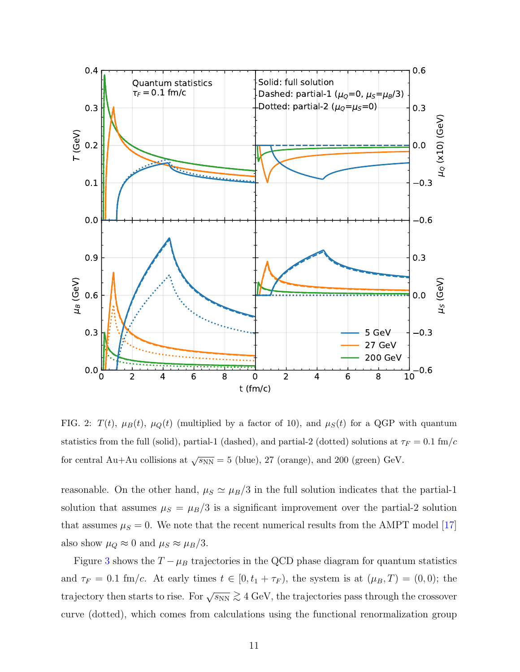

<span id="page-10-0"></span>FIG. 2:  $T(t)$ ,  $\mu_B(t)$ ,  $\mu_Q(t)$  (multiplied by a factor of 10), and  $\mu_S(t)$  for a QGP with quantum statistics from the full (solid), partial-1 (dashed), and partial-2 (dotted) solutions at  $\tau_F = 0.1$  fm/c for central Au+Au collisions at  $\sqrt{s_{NN}} = 5$  (blue), 27 (orange), and 200 (green) GeV.

reasonable. On the other hand,  $\mu_S \simeq \mu_B/3$  in the full solution indicates that the partial-1 solution that assumes  $\mu_S = \mu_B/3$  is a significant improvement over the partial-2 solution that assumes  $\mu_S = 0$ . We note that the recent numerical results from the AMPT model [\[17\]](#page-23-13) also show  $\mu_Q \approx 0$  and  $\mu_S \approx \mu_B/3$ .

Figure [3](#page-11-0) shows the  $T - \mu_B$  trajectories in the QCD phase diagram for quantum statistics and  $\tau_F = 0.1$  fm/c. At early times  $t \in [0, t_1 + \tau_F)$ , the system is at  $(\mu_B, T) = (0, 0)$ ; the trajectory then starts to rise. For  $\sqrt{s_{NN}} \gtrsim 4$  GeV, the trajectories pass through the crossover curve (dotted), which comes from calculations using the functional renormalization group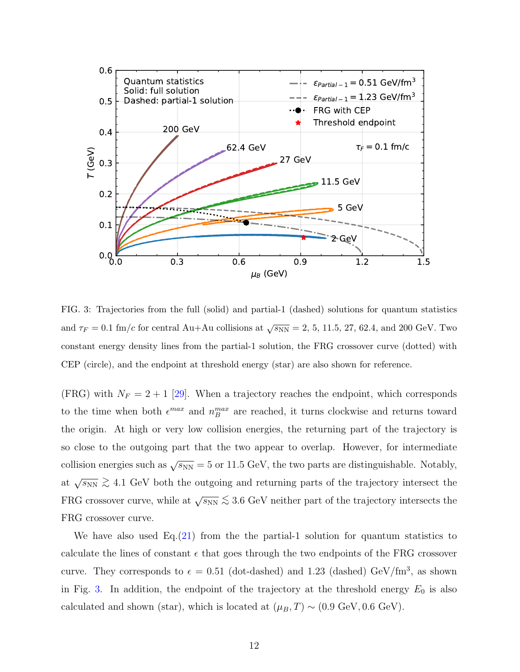

<span id="page-11-0"></span>FIG. 3: Trajectories from the full (solid) and partial-1 (dashed) solutions for quantum statistics and  $\tau_F = 0.1 \text{ fm}/c$  for central Au+Au collisions at  $\sqrt{s_{NN}} = 2, 5, 11.5, 27, 62.4$ , and 200 GeV. Two constant energy density lines from the partial-1 solution, the FRG crossover curve (dotted) with CEP (circle), and the endpoint at threshold energy (star) are also shown for reference.

(FRG) with  $N_F = 2 + 1$  [\[29\]](#page-24-0). When a trajectory reaches the endpoint, which corresponds to the time when both  $\epsilon^{max}$  and  $n_B^{max}$  are reached, it turns clockwise and returns toward the origin. At high or very low collision energies, the returning part of the trajectory is so close to the outgoing part that the two appear to overlap. However, for intermediate collision energies such as  $\sqrt{s_{NN}} = 5$  or 11.5 GeV, the two parts are distinguishable. Notably, at  $\sqrt{s_{NN}} \gtrsim 4.1$  GeV both the outgoing and returning parts of the trajectory intersect the FRG crossover curve, while at  $\sqrt{s_{NN}} \lesssim 3.6$  GeV neither part of the trajectory intersects the FRG crossover curve.

We have also used  $Eq.(21)$  $Eq.(21)$  from the the partial-1 solution for quantum statistics to calculate the lines of constant  $\epsilon$  that goes through the two endpoints of the FRG crossover curve. They corresponds to  $\epsilon = 0.51$  (dot-dashed) and 1.23 (dashed) GeV/fm<sup>3</sup>, as shown in Fig. [3.](#page-11-0) In addition, the endpoint of the trajectory at the threshold energy  $E_0$  is also calculated and shown (star), which is located at  $(\mu_B, T) \sim (0.9 \text{ GeV}, 0.6 \text{ GeV})$ .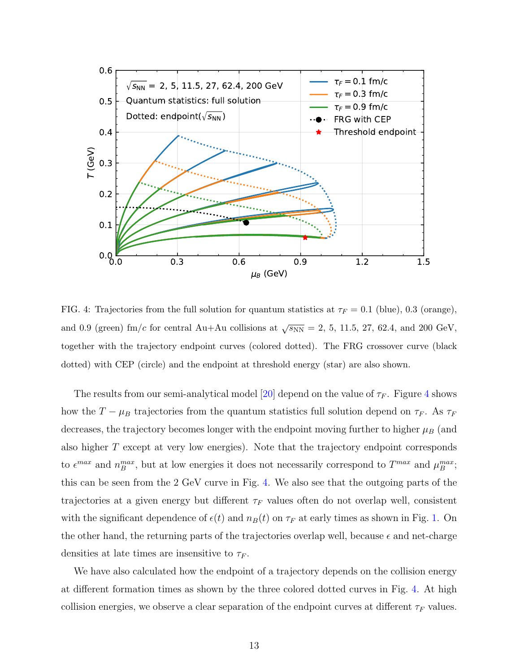

<span id="page-12-0"></span>FIG. 4: Trajectories from the full solution for quantum statistics at  $\tau_F = 0.1$  (blue), 0.3 (orange), and 0.9 (green) fm/c for central Au+Au collisions at  $\sqrt{s_{NN}} = 2, 5, 11.5, 27, 62.4,$  and 200 GeV, together with the trajectory endpoint curves (colored dotted). The FRG crossover curve (black dotted) with CEP (circle) and the endpoint at threshold energy (star) are also shown.

The results from our semi-analytical model [\[20\]](#page-23-15) depend on the value of  $\tau_F$ . Figure [4](#page-12-0) shows how the  $T - \mu_B$  trajectories from the quantum statistics full solution depend on  $\tau_F$ . As  $\tau_F$ decreases, the trajectory becomes longer with the endpoint moving further to higher  $\mu_B$  (and also higher T except at very low energies). Note that the trajectory endpoint corresponds to  $\epsilon^{max}$  and  $n_B^{max}$ , but at low energies it does not necessarily correspond to  $T^{max}$  and  $\mu_B^{max}$ ; this can be seen from the 2 GeV curve in Fig. [4.](#page-12-0) We also see that the outgoing parts of the trajectories at a given energy but different  $\tau_F$  values often do not overlap well, consistent with the significant dependence of  $\epsilon(t)$  and  $n_B(t)$  on  $\tau_F$  at early times as shown in Fig. [1.](#page-9-1) On the other hand, the returning parts of the trajectories overlap well, because  $\epsilon$  and net-charge densities at late times are insensitive to  $\tau_F$ .

We have also calculated how the endpoint of a trajectory depends on the collision energy at different formation times as shown by the three colored dotted curves in Fig. [4.](#page-12-0) At high collision energies, we observe a clear separation of the endpoint curves at different  $\tau_F$  values.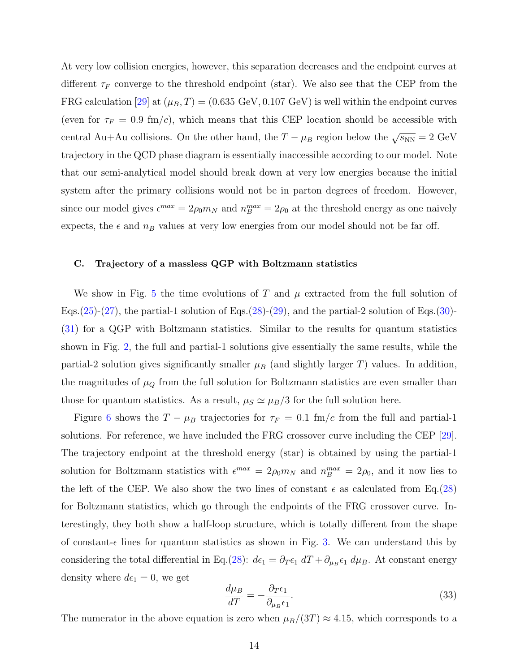At very low collision energies, however, this separation decreases and the endpoint curves at different  $\tau_F$  converge to the threshold endpoint (star). We also see that the CEP from the FRG calculation [\[29\]](#page-24-0) at  $(\mu_B, T) = (0.635 \text{ GeV}, 0.107 \text{ GeV})$  is well within the endpoint curves (even for  $\tau_F = 0.9 \text{ fm/c}$ ), which means that this CEP location should be accessible with central Au+Au collisions. On the other hand, the  $T - \mu_B$  region below the  $\sqrt{s_{NN}} = 2 \text{ GeV}$ trajectory in the QCD phase diagram is essentially inaccessible according to our model. Note that our semi-analytical model should break down at very low energies because the initial system after the primary collisions would not be in parton degrees of freedom. However, since our model gives  $\epsilon^{max} = 2\rho_0 m_N$  and  $n_B^{max} = 2\rho_0$  at the threshold energy as one naively expects, the  $\epsilon$  and  $n_B$  values at very low energies from our model should not be far off.

### <span id="page-13-0"></span>C. Trajectory of a massless QGP with Boltzmann statistics

We show in Fig. [5](#page-14-0) the time evolutions of T and  $\mu$  extracted from the full solution of Eqs.[\(25\)](#page-7-5)-[\(27\)](#page-7-6), the partial-1 solution of Eqs.[\(28\)](#page-8-1)-[\(29\)](#page-8-2), and the partial-2 solution of Eqs.[\(30\)](#page-8-3)-[\(31\)](#page-8-4) for a QGP with Boltzmann statistics. Similar to the results for quantum statistics shown in Fig. [2,](#page-10-0) the full and partial-1 solutions give essentially the same results, while the partial-2 solution gives significantly smaller  $\mu_B$  (and slightly larger T) values. In addition, the magnitudes of  $\mu_Q$  from the full solution for Boltzmann statistics are even smaller than those for quantum statistics. As a result,  $\mu_S \simeq \mu_B/3$  for the full solution here.

Figure [6](#page-15-0) shows the  $T - \mu_B$  trajectories for  $\tau_F = 0.1$  fm/c from the full and partial-1 solutions. For reference, we have included the FRG crossover curve including the CEP [\[29\]](#page-24-0). The trajectory endpoint at the threshold energy (star) is obtained by using the partial-1 solution for Boltzmann statistics with  $\epsilon^{max} = 2\rho_0 m_N$  and  $n_B^{max} = 2\rho_0$ , and it now lies to the left of the CEP. We also show the two lines of constant  $\epsilon$  as calculated from Eq.[\(28\)](#page-8-1) for Boltzmann statistics, which go through the endpoints of the FRG crossover curve. Interestingly, they both show a half-loop structure, which is totally different from the shape of constant- $\epsilon$  lines for quantum statistics as shown in Fig. [3.](#page-11-0) We can understand this by considering the total differential in Eq.[\(28\)](#page-8-1):  $d\epsilon_1 = \partial_T \epsilon_1 dT + \partial_{\mu_B} \epsilon_1 d\mu_B$ . At constant energy density where  $d\epsilon_1 = 0$ , we get

$$
\frac{d\mu_B}{dT} = -\frac{\partial_T \epsilon_1}{\partial_{\mu_B} \epsilon_1}.\tag{33}
$$

The numerator in the above equation is zero when  $\mu_B/(3T) \approx 4.15$ , which corresponds to a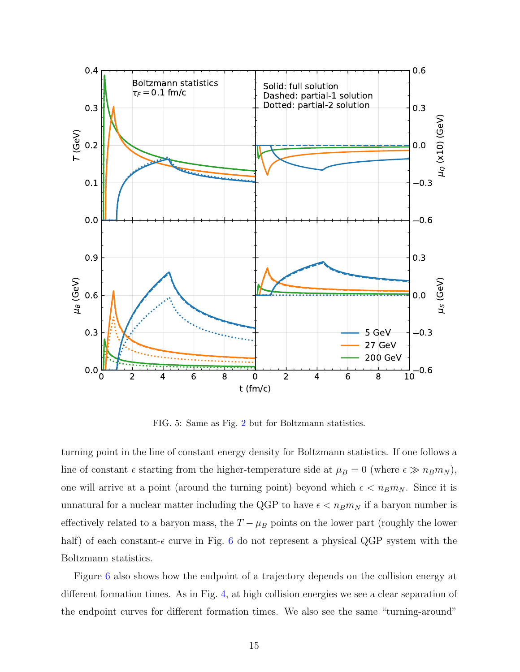![](_page_14_Figure_0.jpeg)

<span id="page-14-0"></span>FIG. 5: Same as Fig. [2](#page-10-0) but for Boltzmann statistics.

turning point in the line of constant energy density for Boltzmann statistics. If one follows a line of constant  $\epsilon$  starting from the higher-temperature side at  $\mu_B = 0$  (where  $\epsilon \gg n_B m_N$ ), one will arrive at a point (around the turning point) beyond which  $\epsilon < n_B m_N$ . Since it is unnatural for a nuclear matter including the QGP to have  $\epsilon < n_B m_N$  if a baryon number is effectively related to a baryon mass, the  $T - \mu_B$  points on the lower part (roughly the lower half) of each constant- $\epsilon$  curve in Fig. [6](#page-15-0) do not represent a physical QGP system with the Boltzmann statistics.

Figure [6](#page-15-0) also shows how the endpoint of a trajectory depends on the collision energy at different formation times. As in Fig. [4,](#page-12-0) at high collision energies we see a clear separation of the endpoint curves for different formation times. We also see the same "turning-around"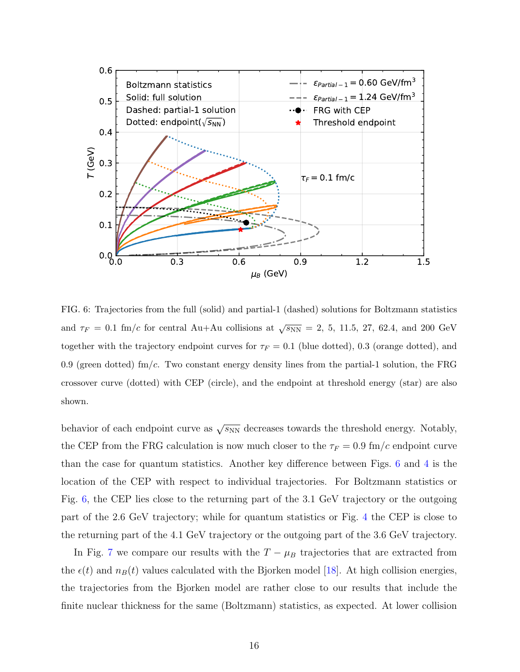![](_page_15_Figure_0.jpeg)

<span id="page-15-0"></span>FIG. 6: Trajectories from the full (solid) and partial-1 (dashed) solutions for Boltzmann statistics and  $\tau_F = 0.1$  fm/c for central Au+Au collisions at  $\sqrt{s_{NN}} = 2, 5, 11.5, 27, 62.4,$  and 200 GeV together with the trajectory endpoint curves for  $\tau_F = 0.1$  (blue dotted), 0.3 (orange dotted), and 0.9 (green dotted) fm/c. Two constant energy density lines from the partial-1 solution, the FRG crossover curve (dotted) with CEP (circle), and the endpoint at threshold energy (star) are also shown.

behavior of each endpoint curve as  $\sqrt{s_{NN}}$  decreases towards the threshold energy. Notably, the CEP from the FRG calculation is now much closer to the  $\tau_F = 0.9 \text{ fm/c}$  endpoint curve than the case for quantum statistics. Another key difference between Figs. [6](#page-15-0) and [4](#page-12-0) is the location of the CEP with respect to individual trajectories. For Boltzmann statistics or Fig. [6,](#page-15-0) the CEP lies close to the returning part of the 3.1 GeV trajectory or the outgoing part of the 2.6 GeV trajectory; while for quantum statistics or Fig. [4](#page-12-0) the CEP is close to the returning part of the 4.1 GeV trajectory or the outgoing part of the 3.6 GeV trajectory.

In Fig. [7](#page-16-0) we compare our results with the  $T - \mu_B$  trajectories that are extracted from the  $\epsilon(t)$  and  $n_B(t)$  values calculated with the Bjorken model [\[18\]](#page-23-14). At high collision energies, the trajectories from the Bjorken model are rather close to our results that include the finite nuclear thickness for the same (Boltzmann) statistics, as expected. At lower collision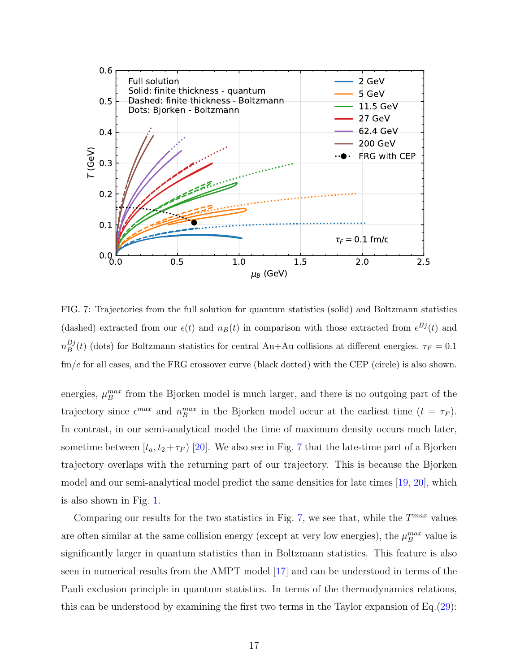![](_page_16_Figure_0.jpeg)

<span id="page-16-0"></span>FIG. 7: Trajectories from the full solution for quantum statistics (solid) and Boltzmann statistics (dashed) extracted from our  $\epsilon(t)$  and  $n_B(t)$  in comparison with those extracted from  $\epsilon^{Bj}(t)$  and  $n_B^{Bj}$  $B_B^{(t)}(t)$  (dots) for Boltzmann statistics for central Au+Au collisions at different energies.  $\tau_F = 0.1$  $\text{fm}/c$  for all cases, and the FRG crossover curve (black dotted) with the CEP (circle) is also shown.

energies,  $\mu_B^{max}$  from the Bjorken model is much larger, and there is no outgoing part of the trajectory since  $\epsilon^{max}$  and  $n_B^{max}$  in the Bjorken model occur at the earliest time  $(t = \tau_F)$ . In contrast, in our semi-analytical model the time of maximum density occurs much later, sometime between  $[t_a, t_2 + \tau_F]$  [\[20\]](#page-23-15). We also see in Fig. [7](#page-16-0) that the late-time part of a Bjorken trajectory overlaps with the returning part of our trajectory. This is because the Bjorken model and our semi-analytical model predict the same densities for late times [\[19,](#page-23-16) [20\]](#page-23-15), which is also shown in Fig. [1.](#page-9-1)

Comparing our results for the two statistics in Fig. [7,](#page-16-0) we see that, while the  $T^{max}$  values are often similar at the same collision energy (except at very low energies), the  $\mu_B^{max}$  value is significantly larger in quantum statistics than in Boltzmann statistics. This feature is also seen in numerical results from the AMPT model [\[17\]](#page-23-13) and can be understood in terms of the Pauli exclusion principle in quantum statistics. In terms of the thermodynamics relations, this can be understood by examining the first two terms in the Taylor expansion of Eq.[\(29\)](#page-8-2):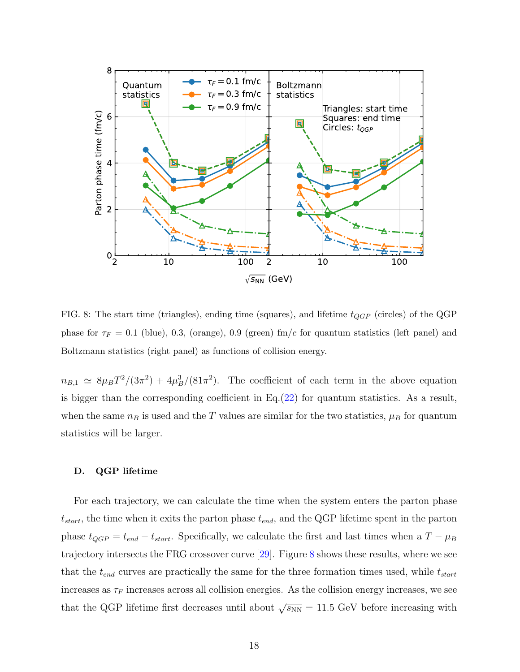![](_page_17_Figure_0.jpeg)

<span id="page-17-1"></span>FIG. 8: The start time (triangles), ending time (squares), and lifetime  $t_{QGP}$  (circles) of the QGP phase for  $\tau_F = 0.1$  (blue), 0.3, (orange), 0.9 (green) fm/c for quantum statistics (left panel) and Boltzmann statistics (right panel) as functions of collision energy.

 $n_{B,1} \simeq 8 \mu_B T^2/(3\pi^2) + 4\mu_B^3/(81\pi^2)$ . The coefficient of each term in the above equation is bigger than the corresponding coefficient in  $Eq.(22)$  $Eq.(22)$  for quantum statistics. As a result, when the same  $n_B$  is used and the T values are similar for the two statistics,  $\mu_B$  for quantum statistics will be larger.

#### <span id="page-17-0"></span>D. QGP lifetime

For each trajectory, we can calculate the time when the system enters the parton phase  $t_{start}$ , the time when it exits the parton phase  $t_{end}$ , and the QGP lifetime spent in the parton phase  $t_{QGP} = t_{end} - t_{start}$ . Specifically, we calculate the first and last times when a  $T - \mu_B$ trajectory intersects the FRG crossover curve [\[29\]](#page-24-0). Figure [8](#page-17-1) shows these results, where we see that the  $t_{end}$  curves are practically the same for the three formation times used, while  $t_{start}$ increases as  $\tau_F$  increases across all collision energies. As the collision energy increases, we see that the QGP lifetime first decreases until about  $\sqrt{s_{NN}} = 11.5$  GeV before increasing with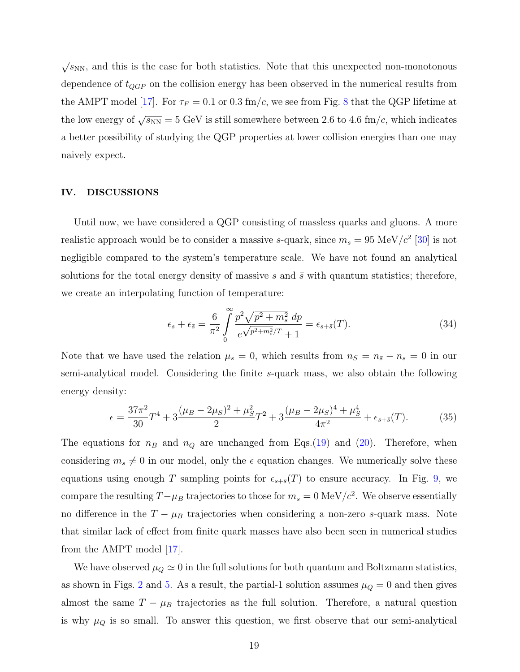$\sqrt{s_{NN}}$ , and this is the case for both statistics. Note that this unexpected non-monotonous dependence of  $t_{QGP}$  on the collision energy has been observed in the numerical results from the AMPT model [\[17\]](#page-23-13). For  $\tau_F = 0.1$  or 0.3 fm/c, we see from Fig. [8](#page-17-1) that the QGP lifetime at the low energy of  $\sqrt{s_{NN}} = 5$  GeV is still somewhere between 2.6 to 4.6 fm/c, which indicates a better possibility of studying the QGP properties at lower collision energies than one may naively expect.

## <span id="page-18-0"></span>IV. DISCUSSIONS

Until now, we have considered a QGP consisting of massless quarks and gluons. A more realistic approach would be to consider a massive s-quark, since  $m_s = 95 \text{ MeV}/c^2 \text{ } [30]$  $m_s = 95 \text{ MeV}/c^2 \text{ } [30]$  is not negligible compared to the system's temperature scale. We have not found an analytical solutions for the total energy density of massive s and  $\bar{s}$  with quantum statistics; therefore, we create an interpolating function of temperature:

$$
\epsilon_s + \epsilon_{\bar{s}} = \frac{6}{\pi^2} \int_{0}^{\infty} \frac{p^2 \sqrt{p^2 + m_s^2} \, dp}{e^{\sqrt{p^2 + m_s^2}/T} + 1} = \epsilon_{s + \bar{s}}(T). \tag{34}
$$

Note that we have used the relation  $\mu_s = 0$ , which results from  $n_S = n_{\bar{s}} - n_s = 0$  in our semi-analytical model. Considering the finite s-quark mass, we also obtain the following energy density:

$$
\epsilon = \frac{37\pi^2}{30}T^4 + 3\frac{(\mu_B - 2\mu_S)^2 + \mu_S^2}{2}T^2 + 3\frac{(\mu_B - 2\mu_S)^4 + \mu_S^4}{4\pi^2} + \epsilon_{s+\bar{s}}(T). \tag{35}
$$

The equations for  $n_B$  and  $n_Q$  are unchanged from Eqs.[\(19\)](#page-6-4) and [\(20\)](#page-6-2). Therefore, when considering  $m_s \neq 0$  in our model, only the  $\epsilon$  equation changes. We numerically solve these equations using enough T sampling points for  $\epsilon_{s+\bar{s}}(T)$  to ensure accuracy. In Fig. [9,](#page-19-0) we compare the resulting  $T-\mu_B$  trajectories to those for  $m_s = 0$  MeV/ $c^2$ . We observe essentially no difference in the  $T - \mu_B$  trajectories when considering a non-zero s-quark mass. Note that similar lack of effect from finite quark masses have also been seen in numerical studies from the AMPT model [\[17\]](#page-23-13).

We have observed  $\mu_Q \simeq 0$  in the full solutions for both quantum and Boltzmann statistics, as shown in Figs. [2](#page-10-0) and [5.](#page-14-0) As a result, the partial-1 solution assumes  $\mu_Q = 0$  and then gives almost the same  $T - \mu_B$  trajectories as the full solution. Therefore, a natural question is why  $\mu_Q$  is so small. To answer this question, we first observe that our semi-analytical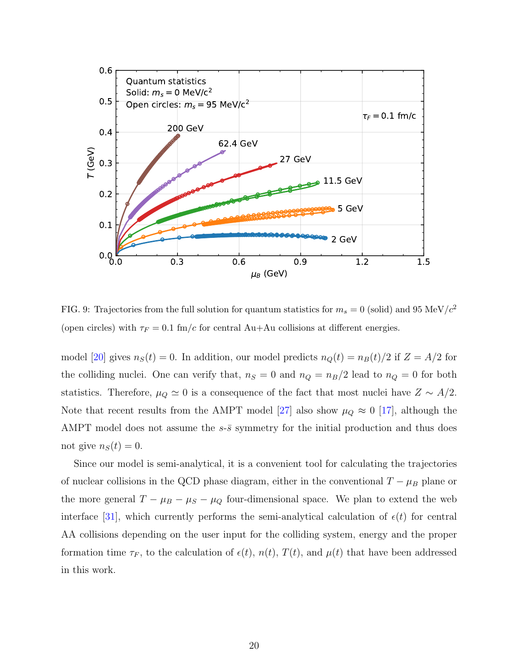![](_page_19_Figure_0.jpeg)

<span id="page-19-0"></span>FIG. 9: Trajectories from the full solution for quantum statistics for  $m_s = 0$  (solid) and 95 MeV/ $c^2$ (open circles) with  $\tau_F = 0.1$  fm/c for central Au+Au collisions at different energies.

model [\[20\]](#page-23-15) gives  $n_S(t) = 0$ . In addition, our model predicts  $n_Q(t) = n_B(t)/2$  if  $Z = A/2$  for the colliding nuclei. One can verify that,  $n_S = 0$  and  $n_Q = n_B/2$  lead to  $n_Q = 0$  for both statistics. Therefore,  $\mu_Q \simeq 0$  is a consequence of the fact that most nuclei have  $Z \sim A/2$ . Note that recent results from the AMPT model [\[27\]](#page-23-23) also show  $\mu_Q \approx 0$  [\[17\]](#page-23-13), although the AMPT model does not assume the  $s-\bar{s}$  symmetry for the initial production and thus does not give  $n<sub>S</sub>(t) = 0$ .

Since our model is semi-analytical, it is a convenient tool for calculating the trajectories of nuclear collisions in the QCD phase diagram, either in the conventional  $T - \mu_B$  plane or the more general  $T - \mu_B - \mu_S - \mu_Q$  four-dimensional space. We plan to extend the web interface [\[31\]](#page-24-2), which currently performs the semi-analytical calculation of  $\epsilon(t)$  for central AA collisions depending on the user input for the colliding system, energy and the proper formation time  $\tau_F$ , to the calculation of  $\epsilon(t)$ ,  $n(t)$ ,  $T(t)$ , and  $\mu(t)$  that have been addressed in this work.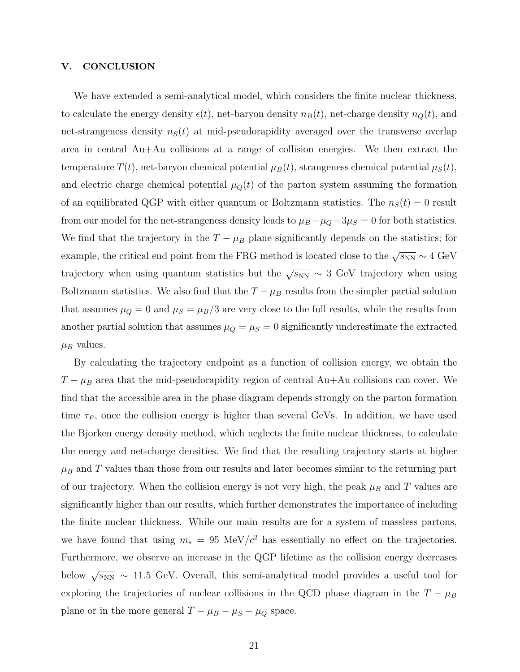## <span id="page-20-0"></span>V. CONCLUSION

We have extended a semi-analytical model, which considers the finite nuclear thickness, to calculate the energy density  $\epsilon(t)$ , net-baryon density  $n_B(t)$ , net-charge density  $n_Q(t)$ , and net-strangeness density  $n<sub>S</sub>(t)$  at mid-pseudorapidity averaged over the transverse overlap area in central Au+Au collisions at a range of collision energies. We then extract the temperature  $T(t)$ , net-baryon chemical potential  $\mu_B(t)$ , strangeness chemical potential  $\mu_S(t)$ , and electric charge chemical potential  $\mu_Q(t)$  of the parton system assuming the formation of an equilibrated QGP with either quantum or Boltzmann statistics. The  $n<sub>S</sub>(t) = 0$  result from our model for the net-strangeness density leads to  $\mu_B - \mu_Q - 3\mu_S = 0$  for both statistics. We find that the trajectory in the  $T - \mu_B$  plane significantly depends on the statistics; for example, the critical end point from the FRG method is located close to the  $\sqrt{s_{NN}} \sim 4 \text{ GeV}$ trajectory when using quantum statistics but the  $\sqrt{s_{NN}} \sim 3$  GeV trajectory when using Boltzmann statistics. We also find that the  $T - \mu_B$  results from the simpler partial solution that assumes  $\mu_Q = 0$  and  $\mu_S = \mu_B/3$  are very close to the full results, while the results from another partial solution that assumes  $\mu_Q = \mu_S = 0$  significantly underestimate the extracted  $\mu_B$  values.

By calculating the trajectory endpoint as a function of collision energy, we obtain the  $T - \mu_B$  area that the mid-pseudorapidity region of central Au+Au collisions can cover. We find that the accessible area in the phase diagram depends strongly on the parton formation time  $\tau_F$ , once the collision energy is higher than several GeVs. In addition, we have used the Bjorken energy density method, which neglects the finite nuclear thickness, to calculate the energy and net-charge densities. We find that the resulting trajectory starts at higher  $\mu_B$  and T values than those from our results and later becomes similar to the returning part of our trajectory. When the collision energy is not very high, the peak  $\mu_B$  and T values are significantly higher than our results, which further demonstrates the importance of including the finite nuclear thickness. While our main results are for a system of massless partons, we have found that using  $m_s = 95 \text{ MeV}/c^2$  has essentially no effect on the trajectories. Furthermore, we observe an increase in the QGP lifetime as the collision energy decreases below  $\sqrt{s_{NN}} \sim 11.5$  GeV. Overall, this semi-analytical model provides a useful tool for exploring the trajectories of nuclear collisions in the QCD phase diagram in the  $T - \mu_B$ plane or in the more general  $T - \mu_B - \mu_S - \mu_Q$  space.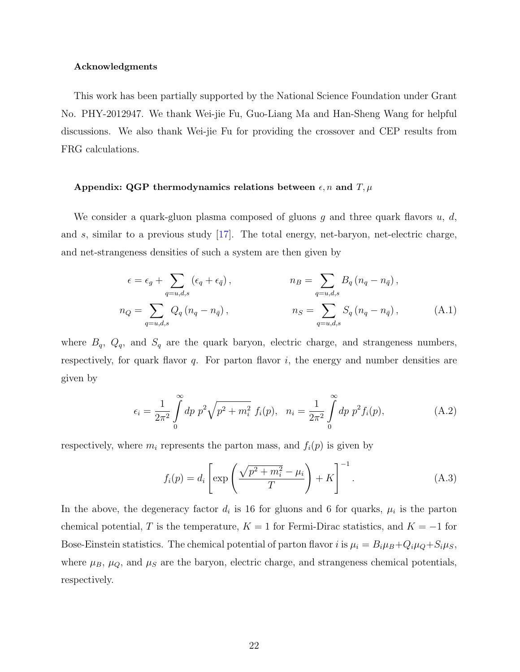#### Acknowledgments

This work has been partially supported by the National Science Foundation under Grant No. PHY-2012947. We thank Wei-jie Fu, Guo-Liang Ma and Han-Sheng Wang for helpful discussions. We also thank Wei-jie Fu for providing the crossover and CEP results from FRG calculations.

#### Appendix: QGP thermodynamics relations between  $\epsilon, n$  and  $T, \mu$

We consider a quark-gluon plasma composed of gluons g and three quark flavors  $u, d$ , and s, similar to a previous study  $\left[17\right]$ . The total energy, net-baryon, net-electric charge, and net-strangeness densities of such a system are then given by

$$
\epsilon = \epsilon_g + \sum_{q=u,d,s} (\epsilon_q + \epsilon_{\bar{q}}), \qquad n_B = \sum_{q=u,d,s} B_q (n_q - n_{\bar{q}}),
$$
  
\n
$$
n_Q = \sum_{q=u,d,s} Q_q (n_q - n_{\bar{q}}), \qquad n_S = \sum_{q=u,d,s} S_q (n_q - n_{\bar{q}}), \qquad (A.1)
$$

where  $B_q$ ,  $Q_q$ , and  $S_q$  are the quark baryon, electric charge, and strangeness numbers, respectively, for quark flavor  $q$ . For parton flavor  $i$ , the energy and number densities are given by

$$
\epsilon_i = \frac{1}{2\pi^2} \int_0^\infty dp \ p^2 \sqrt{p^2 + m_i^2} \ f_i(p), \ \ n_i = \frac{1}{2\pi^2} \int_0^\infty dp \ p^2 f_i(p), \tag{A.2}
$$

respectively, where  $m_i$  represents the parton mass, and  $f_i(p)$  is given by

<span id="page-21-0"></span>
$$
f_i(p) = d_i \left[ \exp\left(\frac{\sqrt{p^2 + m_i^2} - \mu_i}{T}\right) + K \right]^{-1}.
$$
 (A.3)

In the above, the degeneracy factor  $d_i$  is 16 for gluons and 6 for quarks,  $\mu_i$  is the parton chemical potential, T is the temperature,  $K = 1$  for Fermi-Dirac statistics, and  $K = -1$  for Bose-Einstein statistics. The chemical potential of parton flavor i is  $\mu_i = B_i \mu_B + Q_i \mu_Q + S_i \mu_S$ , where  $\mu_B$ ,  $\mu_Q$ , and  $\mu_S$  are the baryon, electric charge, and strangeness chemical potentials, respectively.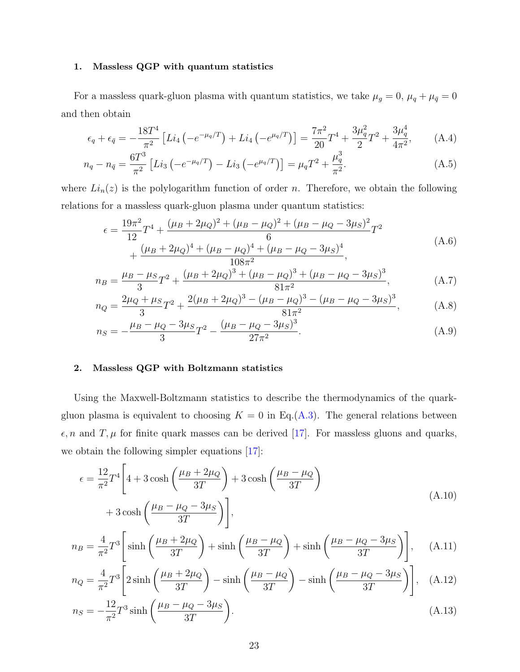### 1. Massless QGP with quantum statistics

For a massless quark-gluon plasma with quantum statistics, we take  $\mu_g = 0$ ,  $\mu_q + \mu_{\bar{q}} = 0$ and then obtain

$$
\epsilon_q + \epsilon_{\bar{q}} = -\frac{18T^4}{\pi^2} \left[ Li_4 \left( -e^{-\mu_q/T} \right) + Li_4 \left( -e^{\mu_q/T} \right) \right] = \frac{7\pi^2}{20} T^4 + \frac{3\mu_q^2}{2} T^2 + \frac{3\mu_q^4}{4\pi^2},\tag{A.4}
$$

$$
n_q - n_{\bar{q}} = \frac{6T^3}{\pi^2} \left[ Li_3 \left( -e^{-\mu_q/T} \right) - Li_3 \left( -e^{\mu_q/T} \right) \right] = \mu_q T^2 + \frac{\mu_q^3}{\pi^2}.
$$
 (A.5)

where  $Li_n(z)$  is the polylogarithm function of order n. Therefore, we obtain the following relations for a massless quark-gluon plasma under quantum statistics:

<span id="page-22-4"></span><span id="page-22-3"></span><span id="page-22-2"></span>
$$
\epsilon = \frac{19\pi^2}{12}T^4 + \frac{(\mu_B + 2\mu_Q)^2 + (\mu_B - \mu_Q)^2 + (\mu_B - \mu_Q - 3\mu_S)^2}{6}T^2 + \frac{(\mu_B + 2\mu_Q)^4 + (\mu_B - \mu_Q)^4 + (\mu_B - \mu_Q - 3\mu_S)^4}{108\pi^2},
$$
\n(A.6)

$$
n_B = \frac{\mu_B - \mu_S}{3}T^2 + \frac{(\mu_B + 2\mu_Q)^3 + (\mu_B - \mu_Q)^3 + (\mu_B - \mu_Q - 3\mu_S)^3}{81\pi^2},
$$
 (A.7)

$$
n_Q = \frac{2\mu_Q + \mu_S}{3}T^2 + \frac{2(\mu_B + 2\mu_Q)^3 - (\mu_B - \mu_Q)^3 - (\mu_B - \mu_Q - 3\mu_S)^3}{81\pi^2},
$$
 (A.8)

<span id="page-22-0"></span>
$$
n_S = -\frac{\mu_B - \mu_Q - 3\mu_S}{3}T^2 - \frac{(\mu_B - \mu_Q - 3\mu_S)^3}{27\pi^2}.
$$
 (A.9)

## 2. Massless QGP with Boltzmann statistics

Using the Maxwell-Boltzmann statistics to describe the thermodynamics of the quarkgluon plasma is equivalent to choosing  $K = 0$  in Eq.[\(A.3\)](#page-21-0). The general relations between  $\epsilon$ , n and T,  $\mu$  for finite quark masses can be derived [\[17\]](#page-23-13). For massless gluons and quarks, we obtain the following simpler equations [\[17\]](#page-23-13):

<span id="page-22-6"></span><span id="page-22-5"></span>
$$
\epsilon = \frac{12}{\pi^2} T^4 \left[ 4 + 3 \cosh\left(\frac{\mu_B + 2\mu_Q}{3T}\right) + 3 \cosh\left(\frac{\mu_B - \mu_Q}{3T}\right) + 3 \cosh\left(\frac{\mu_B - \mu_Q - 3\mu_S}{3T}\right) \right],
$$
\n(A.10)

$$
n_B = \frac{4}{\pi^2} T^3 \left[ \sinh\left(\frac{\mu_B + 2\mu_Q}{3T}\right) + \sinh\left(\frac{\mu_B - \mu_Q}{3T}\right) + \sinh\left(\frac{\mu_B - \mu_Q - 3\mu_S}{3T}\right) \right], \quad (A.11)
$$

$$
n_Q = \frac{4}{\pi^2} T^3 \left[ 2 \sinh\left(\frac{\mu_B + 2\mu_Q}{3T}\right) - \sinh\left(\frac{\mu_B - \mu_Q}{3T}\right) - \sinh\left(\frac{\mu_B - \mu_Q - 3\mu_S}{3T}\right) \right], \quad \text{(A.12)}
$$

<span id="page-22-1"></span>
$$
n_S = -\frac{12}{\pi^2} T^3 \sinh\left(\frac{\mu_B - \mu_Q - 3\mu_S}{3T}\right).
$$
 (A.13)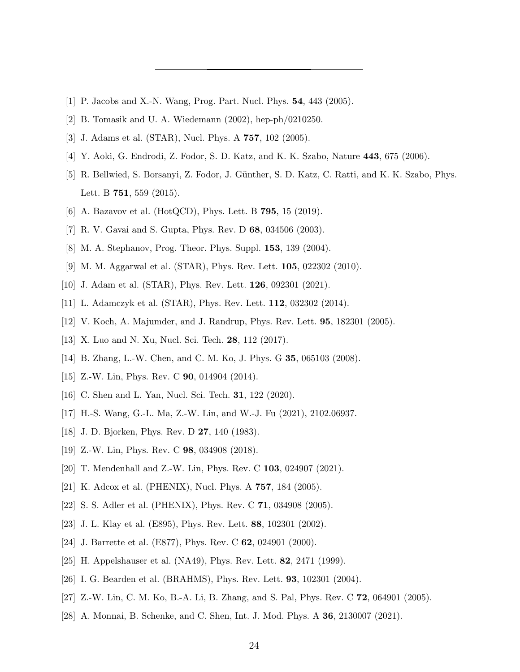- <span id="page-23-1"></span><span id="page-23-0"></span>[1] P. Jacobs and X.-N. Wang, Prog. Part. Nucl. Phys. 54, 443 (2005).
- <span id="page-23-2"></span>[2] B. Tomasik and U. A. Wiedemann (2002), hep-ph/0210250.
- <span id="page-23-3"></span>[3] J. Adams et al. (STAR), Nucl. Phys. A 757, 102 (2005).
- <span id="page-23-4"></span>[4] Y. Aoki, G. Endrodi, Z. Fodor, S. D. Katz, and K. K. Szabo, Nature 443, 675 (2006).
- [5] R. Bellwied, S. Borsanyi, Z. Fodor, J. Günther, S. D. Katz, C. Ratti, and K. K. Szabo, Phys. Lett. B **751**, 559 (2015).
- <span id="page-23-6"></span><span id="page-23-5"></span>[6] A. Bazavov et al. (HotQCD), Phys. Lett. B **795**, 15 (2019).
- <span id="page-23-7"></span>[7] R. V. Gavai and S. Gupta, Phys. Rev. D 68, 034506 (2003).
- <span id="page-23-8"></span>[8] M. A. Stephanov, Prog. Theor. Phys. Suppl. 153, 139 (2004).
- [9] M. M. Aggarwal et al. (STAR), Phys. Rev. Lett. 105, 022302 (2010).
- <span id="page-23-9"></span>[10] J. Adam et al. (STAR), Phys. Rev. Lett. **126**, 092301 (2021).
- <span id="page-23-10"></span>[11] L. Adamczyk et al. (STAR), Phys. Rev. Lett. **112**, 032302 (2014).
- <span id="page-23-11"></span>[12] V. Koch, A. Majumder, and J. Randrup, Phys. Rev. Lett. 95, 182301 (2005).
- <span id="page-23-12"></span>[13] X. Luo and N. Xu, Nucl. Sci. Tech. 28, 112 (2017).
- [14] B. Zhang, L.-W. Chen, and C. M. Ko, J. Phys. G **35**, 065103 (2008).
- [15] Z.-W. Lin, Phys. Rev. C **90**, 014904 (2014).
- <span id="page-23-13"></span>[16] C. Shen and L. Yan, Nucl. Sci. Tech. 31, 122 (2020).
- <span id="page-23-14"></span>[17] H.-S. Wang, G.-L. Ma, Z.-W. Lin, and W.-J. Fu (2021), 2102.06937.
- <span id="page-23-16"></span>[18] J. D. Bjorken, Phys. Rev. D 27, 140 (1983).
- <span id="page-23-15"></span>[19] Z.-W. Lin, Phys. Rev. C **98**, 034908 (2018).
- <span id="page-23-17"></span>[20] T. Mendenhall and Z.-W. Lin, Phys. Rev. C 103, 024907 (2021).
- <span id="page-23-18"></span>[21] K. Adcox et al. (PHENIX), Nucl. Phys. A 757, 184 (2005).
- <span id="page-23-19"></span>[22] S. S. Adler et al. (PHENIX), Phys. Rev. C 71, 034908 (2005).
- <span id="page-23-20"></span>[23] J. L. Klay et al. (E895), Phys. Rev. Lett. 88, 102301 (2002).
- <span id="page-23-21"></span>[24] J. Barrette et al. (E877), Phys. Rev. C **62**, 024901 (2000).
- <span id="page-23-22"></span>[25] H. Appelshauser et al. (NA49), Phys. Rev. Lett. **82**, 2471 (1999).
- <span id="page-23-23"></span>[26] I. G. Bearden et al. (BRAHMS), Phys. Rev. Lett. 93, 102301 (2004).
- <span id="page-23-24"></span>[27] Z.-W. Lin, C. M. Ko, B.-A. Li, B. Zhang, and S. Pal, Phys. Rev. C 72, 064901 (2005).
- [28] A. Monnai, B. Schenke, and C. Shen, Int. J. Mod. Phys. A 36, 2130007 (2021).